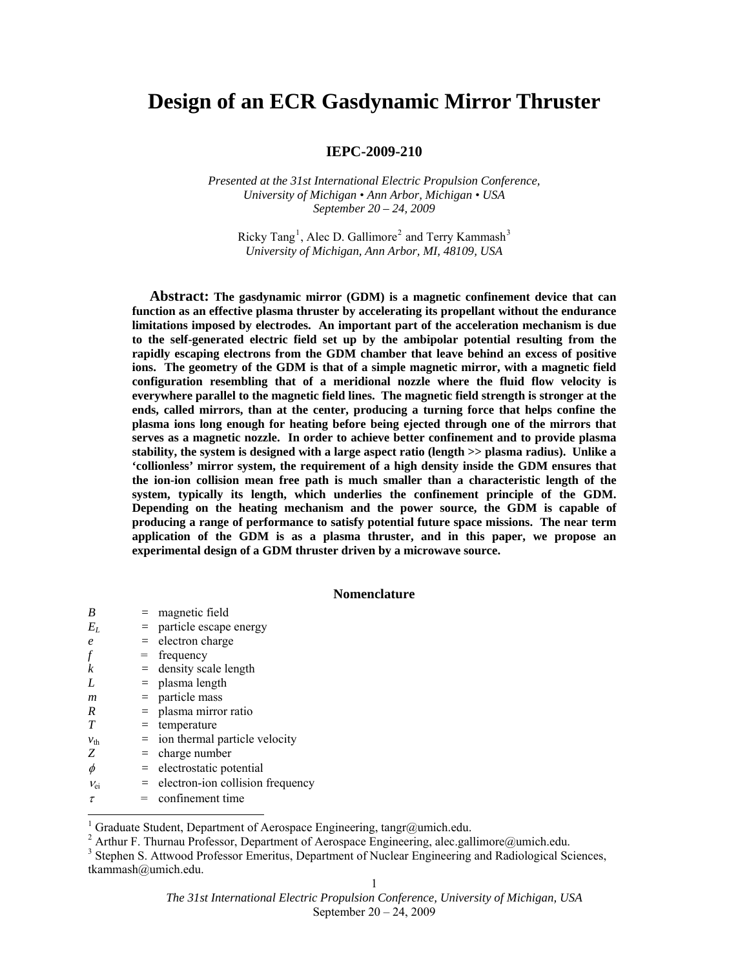# **Design of an ECR Gasdynamic Mirror Thruster**

# **IEPC-2009-210**

*Presented at the 31st International Electric Propulsion Conference, University of Michigan • Ann Arbor, Michigan • USA September 20 – 24, 2009* 

Ricky Tang<sup>[1](#page-0-0)</sup>, Alec D. Gallimore<sup>[2](#page-0-1)</sup> and Terry Kammash<sup>[3](#page-0-2)</sup> *University of Michigan, Ann Arbor, MI, 48109, USA* 

**Abstract: The gasdynamic mirror (GDM) is a magnetic confinement device that can function as an effective plasma thruster by accelerating its propellant without the endurance limitations imposed by electrodes. An important part of the acceleration mechanism is due to the self-generated electric field set up by the ambipolar potential resulting from the rapidly escaping electrons from the GDM chamber that leave behind an excess of positive ions. The geometry of the GDM is that of a simple magnetic mirror, with a magnetic field configuration resembling that of a meridional nozzle where the fluid flow velocity is everywhere parallel to the magnetic field lines. The magnetic field strength is stronger at the ends, called mirrors, than at the center, producing a turning force that helps confine the plasma ions long enough for heating before being ejected through one of the mirrors that serves as a magnetic nozzle. In order to achieve better confinement and to provide plasma stability, the system is designed with a large aspect ratio (length >> plasma radius). Unlike a 'collionless' mirror system, the requirement of a high density inside the GDM ensures that the ion-ion collision mean free path is much smaller than a characteristic length of the system, typically its length, which underlies the confinement principle of the GDM. Depending on the heating mechanism and the power source, the GDM is capable of producing a range of performance to satisfy potential future space missions. The near term application of the GDM is as a plasma thruster, and in this paper, we propose an experimental design of a GDM thruster driven by a microwave source.** 

#### **Nomenclature**

| B                | $=$ magnetic field                   |
|------------------|--------------------------------------|
| $E_L$            | $=$ particle escape energy           |
| $\boldsymbol{e}$ | $=$ electron charge                  |
|                  | $=$ frequency                        |
| k                | $=$ density scale length             |
| L                | $=$ plasma length                    |
| m                | $=$ particle mass                    |
| R                | $=$ plasma mirror ratio              |
| T                | $=$ temperature                      |
| $v_{\text{th}}$  | $=$ ion thermal particle velocity    |
| Z                | $=$ charge number                    |
| φ                | $=$ electrostatic potential          |
| $V_{\text{ei}}$  | $=$ electron-ion collision frequency |
| τ                | $=$ confinement time                 |

<span id="page-0-0"></span> 1 Graduate Student, Department of Aerospace Engineering, tangr@umich.edu.

<sup>&</sup>lt;sup>2</sup> Arthur F. Thurnau Professor, Department of Aerospace Engineering, alec.gallimore@umich.edu.

<span id="page-0-2"></span><span id="page-0-1"></span><sup>&</sup>lt;sup>3</sup> Stephen S. Attwood Professor Emeritus, Department of Nuclear Engineering and Radiological Sciences, tkammash@umich.edu.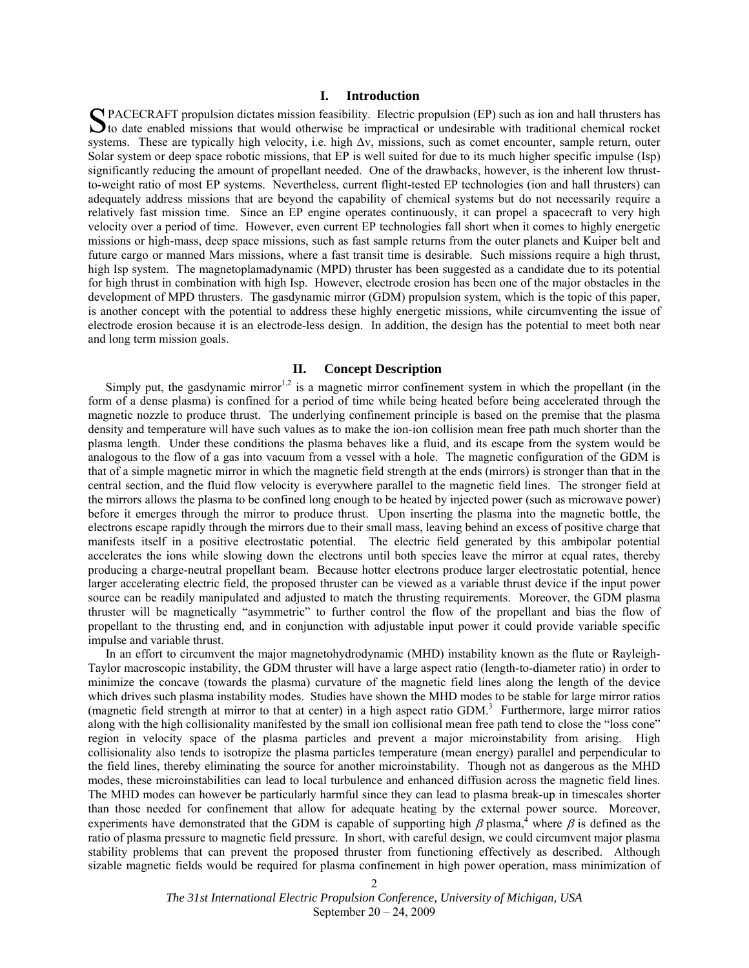## **I. Introduction**

PACECRAFT propulsion dictates mission feasibility. Electric propulsion (EP) such as ion and hall thrusters has SPACECRAFT propulsion dictates mission feasibility. Electric propulsion (EP) such as ion and hall thrusters has to date enabled missions that would otherwise be impractical or undesirable with traditional chemical rocket systems. These are typically high velocity, i.e. high  $\Delta y$ , missions, such as comet encounter, sample return, outer Solar system or deep space robotic missions, that EP is well suited for due to its much higher specific impulse (Isp) significantly reducing the amount of propellant needed. One of the drawbacks, however, is the inherent low thrustto-weight ratio of most EP systems. Nevertheless, current flight-tested EP technologies (ion and hall thrusters) can adequately address missions that are beyond the capability of chemical systems but do not necessarily require a relatively fast mission time. Since an EP engine operates continuously, it can propel a spacecraft to very high velocity over a period of time. However, even current EP technologies fall short when it comes to highly energetic missions or high-mass, deep space missions, such as fast sample returns from the outer planets and Kuiper belt and future cargo or manned Mars missions, where a fast transit time is desirable. Such missions require a high thrust, high Isp system. The magnetoplamadynamic (MPD) thruster has been suggested as a candidate due to its potential for high thrust in combination with high Isp. However, electrode erosion has been one of the major obstacles in the development of MPD thrusters. The gasdynamic mirror (GDM) propulsion system, which is the topic of this paper, is another concept with the potential to address these highly energetic missions, while circumventing the issue of electrode erosion because it is an electrode-less design. In addition, the design has the potential to meet both near and long term mission goals.

## **II. Concept Description**

Simply put, the gasdynamic mirror<sup>1,2</sup> is a magnetic mirror confinement system in which the propellant (in the form of a dense plasma) is confined for a period of time while being heated before being accelerated through the magnetic nozzle to produce thrust. The underlying confinement principle is based on the premise that the plasma density and temperature will have such values as to make the ion-ion collision mean free path much shorter than the plasma length. Under these conditions the plasma behaves like a fluid, and its escape from the system would be analogous to the flow of a gas into vacuum from a vessel with a hole. The magnetic configuration of the GDM is that of a simple magnetic mirror in which the magnetic field strength at the ends (mirrors) is stronger than that in the central section, and the fluid flow velocity is everywhere parallel to the magnetic field lines. The stronger field at the mirrors allows the plasma to be confined long enough to be heated by injected power (such as microwave power) before it emerges through the mirror to produce thrust. Upon inserting the plasma into the magnetic bottle, the electrons escape rapidly through the mirrors due to their small mass, leaving behind an excess of positive charge that manifests itself in a positive electrostatic potential. The electric field generated by this ambipolar potential accelerates the ions while slowing down the electrons until both species leave the mirror at equal rates, thereby producing a charge-neutral propellant beam. Because hotter electrons produce larger electrostatic potential, hence larger accelerating electric field, the proposed thruster can be viewed as a variable thrust device if the input power source can be readily manipulated and adjusted to match the thrusting requirements. Moreover, the GDM plasma thruster will be magnetically "asymmetric" to further control the flow of the propellant and bias the flow of propellant to the thrusting end, and in conjunction with adjustable input power it could provide variable specific impulse and variable thrust.

In an effort to circumvent the major magnetohydrodynamic (MHD) instability known as the flute or Rayleigh-Taylor macroscopic instability, the GDM thruster will have a large aspect ratio (length-to-diameter ratio) in order to minimize the concave (towards the plasma) curvature of the magnetic field lines along the length of the device which drives such plasma instability modes. Studies have shown the MHD modes to be stable for large mirror ratios (magnetic field strength at mirror to that at center) in a high aspect ratio GDM.3 Furthermore, large mirror ratios along with the high collisionality manifested by the small ion collisional mean free path tend to close the "loss cone" region in velocity space of the plasma particles and prevent a major microinstability from arising. High collisionality also tends to isotropize the plasma particles temperature (mean energy) parallel and perpendicular to the field lines, thereby eliminating the source for another microinstability. Though not as dangerous as the MHD modes, these microinstabilities can lead to local turbulence and enhanced diffusion across the magnetic field lines. The MHD modes can however be particularly harmful since they can lead to plasma break-up in timescales shorter than those needed for confinement that allow for adequate heating by the external power source. Moreover, experiments have demonstrated that the GDM is capable of supporting high  $\beta$  plasma,<sup>4</sup> where  $\beta$  is defined as the ratio of plasma pressure to magnetic field pressure. In short, with careful design, we could circumvent major plasma stability problems that can prevent the proposed thruster from functioning effectively as described. Although sizable magnetic fields would be required for plasma confinement in high power operation, mass minimization of

> *The 31st International Electric Propulsion Conference, University of Michigan, USA*  September 20 – 24, 2009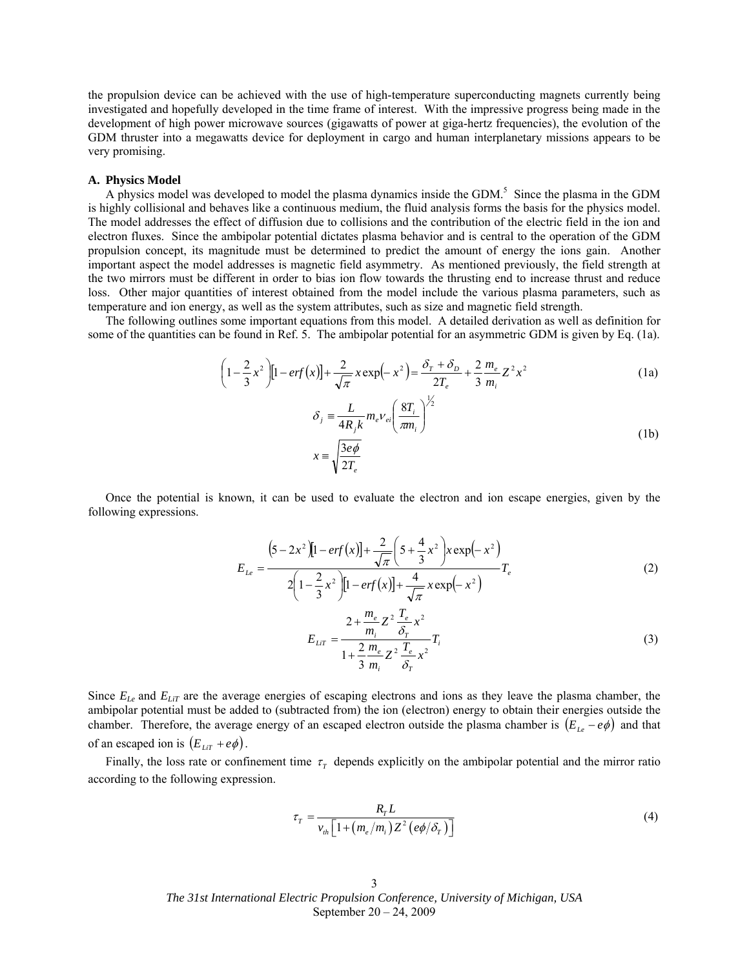the propulsion device can be achieved with the use of high-temperature superconducting magnets currently being investigated and hopefully developed in the time frame of interest. With the impressive progress being made in the development of high power microwave sources (gigawatts of power at giga-hertz frequencies), the evolution of the GDM thruster into a megawatts device for deployment in cargo and human interplanetary missions appears to be very promising.

#### **A. Physics Model**

A physics model was developed to model the plasma dynamics inside the GDM.<sup>5</sup> Since the plasma in the GDM is highly collisional and behaves like a continuous medium, the fluid analysis forms the basis for the physics model. The model addresses the effect of diffusion due to collisions and the contribution of the electric field in the ion and electron fluxes. Since the ambipolar potential dictates plasma behavior and is central to the operation of the GDM propulsion concept, its magnitude must be determined to predict the amount of energy the ions gain. Another important aspect the model addresses is magnetic field asymmetry. As mentioned previously, the field strength at the two mirrors must be different in order to bias ion flow towards the thrusting end to increase thrust and reduce loss. Other major quantities of interest obtained from the model include the various plasma parameters, such as temperature and ion energy, as well as the system attributes, such as size and magnetic field strength.

The following outlines some important equations from this model. A detailed derivation as well as definition for some of the quantities can be found in Ref. 5. The ambipolar potential for an asymmetric GDM is given by Eq. (1a).

$$
\left(1 - \frac{2}{3}x^2\right)\left[1 - erf(x)\right] + \frac{2}{\sqrt{\pi}}x\exp\left(-x^2\right) = \frac{\delta_r + \delta_D}{2T_e} + \frac{2}{3}\frac{m_e}{m_i}Z^2x^2\tag{1a}
$$

$$
\delta_j = \frac{L}{4R_j k} m_e v_{ei} \left(\frac{8T_i}{\pi m_i}\right)^{\frac{1}{2}}
$$
  

$$
x = \sqrt{\frac{3e\phi}{2T_e}}
$$
 (1b)

 Once the potential is known, it can be used to evaluate the electron and ion escape energies, given by the following expressions.

$$
E_{Le} = \frac{\left(5 - 2x^2\right)\left[1 - erf(x)\right] + \frac{2}{\sqrt{\pi}}\left(5 + \frac{4}{3}x^2\right)x\exp(-x^2)}{2\left(1 - \frac{2}{3}x^2\right)\left[1 - erf(x)\right] + \frac{4}{\sqrt{\pi}}x\exp(-x^2)}T_e
$$
\n(2)

$$
E_{LIT} = \frac{2 + \frac{m_e}{m_i} Z^2 \frac{T_e}{\delta_T} x^2}{1 + \frac{2}{3} \frac{m_e}{m_i} Z^2 \frac{T_e}{\delta_T} x^2} T_i
$$
(3)

Since  $E_{Le}$  and  $E_{LiT}$  are the average energies of escaping electrons and ions as they leave the plasma chamber, the ambipolar potential must be added to (subtracted from) the ion (electron) energy to obtain their energies outside the chamber. Therefore, the average energy of an escaped electron outside the plasma chamber is  $(E_{i,e} - e\phi)$  and that of an escaped ion is  $(E_{LT} + e\phi)$ .

Finally, the loss rate or confinement time  $\tau$  depends explicitly on the ambipolar potential and the mirror ratio according to the following expression.

$$
\tau_{T} = \frac{R_{T}L}{v_{th} \left[1 + \left(m_{e}/m_{i}\right)Z^{2}\left(e\phi/\delta_{T}\right)\right]}
$$
\n(4)

*The 31st International Electric Propulsion Conference, University of Michigan, USA*  September 20 – 24, 2009 3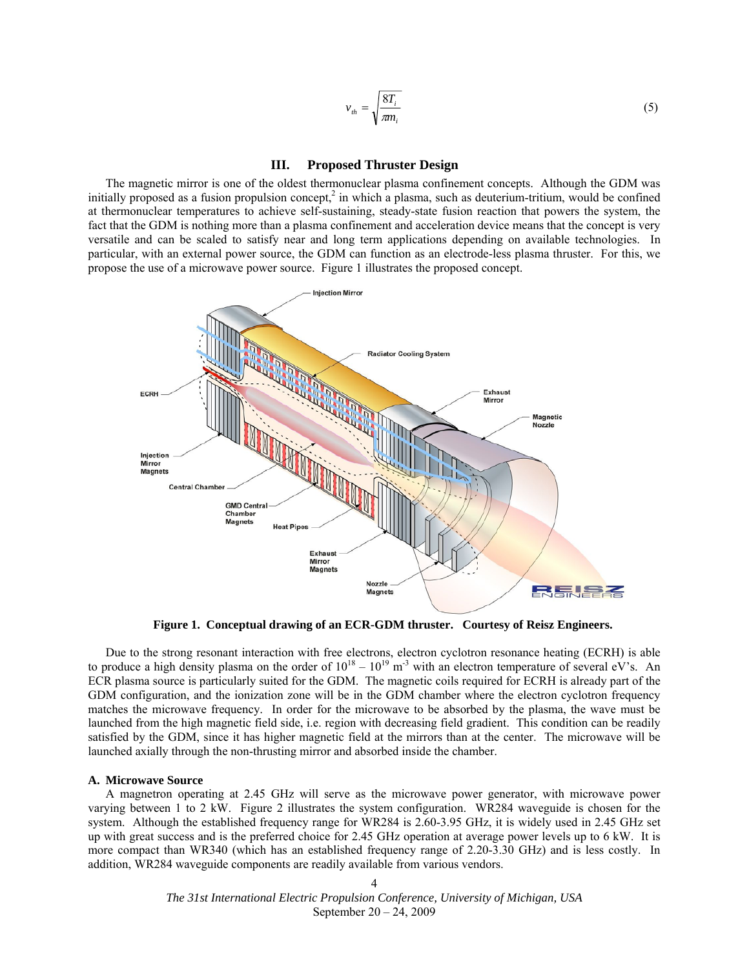$$
v_{th} = \sqrt{\frac{8T_i}{\pi n_i}}\tag{5}
$$

## **III. Proposed Thruster Design**

The magnetic mirror is one of the oldest thermonuclear plasma confinement concepts. Although the GDM was initially proposed as a fusion propulsion concept,<sup>2</sup> in which a plasma, such as deuterium-tritium, would be confined at thermonuclear temperatures to achieve self-sustaining, steady-state fusion reaction that powers the system, the fact that the GDM is nothing more than a plasma confinement and acceleration device means that the concept is very versatile and can be scaled to satisfy near and long term applications depending on available technologies. In particular, with an external power source, the GDM can function as an electrode-less plasma thruster. For this, we propose the use of a microwave power source. Figure 1 illustrates the proposed concept.



**Figure 1. Conceptual drawing of an ECR-GDM thruster. Courtesy of Reisz Engineers.** 

Due to the strong resonant interaction with free electrons, electron cyclotron resonance heating (ECRH) is able to produce a high density plasma on the order of  $10^{18} - 10^{19}$  m<sup>-3</sup> with an electron temperature of several eV's. An ECR plasma source is particularly suited for the GDM. The magnetic coils required for ECRH is already part of the GDM configuration, and the ionization zone will be in the GDM chamber where the electron cyclotron frequency matches the microwave frequency. In order for the microwave to be absorbed by the plasma, the wave must be launched from the high magnetic field side, i.e. region with decreasing field gradient. This condition can be readily satisfied by the GDM, since it has higher magnetic field at the mirrors than at the center. The microwave will be launched axially through the non-thrusting mirror and absorbed inside the chamber.

#### **A. Microwave Source**

A magnetron operating at 2.45 GHz will serve as the microwave power generator, with microwave power varying between 1 to 2 kW. Figure 2 illustrates the system configuration. WR284 waveguide is chosen for the system. Although the established frequency range for WR284 is 2.60-3.95 GHz, it is widely used in 2.45 GHz set up with great success and is the preferred choice for 2.45 GHz operation at average power levels up to 6 kW. It is more compact than WR340 (which has an established frequency range of 2.20-3.30 GHz) and is less costly. In addition, WR284 waveguide components are readily available from various vendors.

> *The 31st International Electric Propulsion Conference, University of Michigan, USA*  September 20 – 24, 2009 4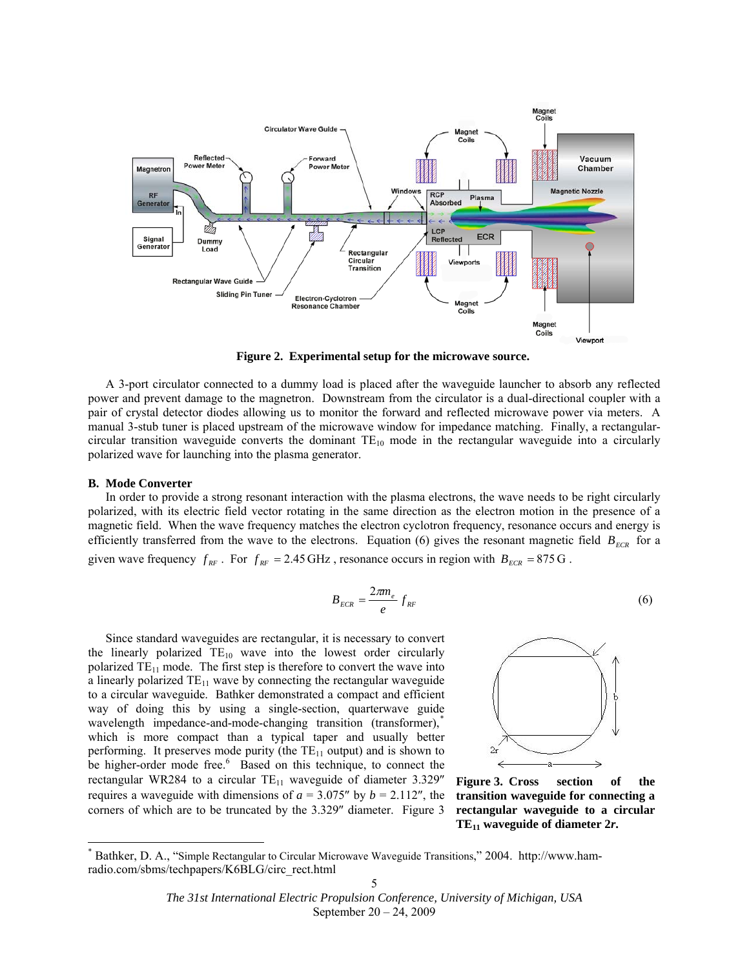

**Figure 2. Experimental setup for the microwave source.** 

A 3-port circulator connected to a dummy load is placed after the waveguide launcher to absorb any reflected power and prevent damage to the magnetron. Downstream from the circulator is a dual-directional coupler with a pair of crystal detector diodes allowing us to monitor the forward and reflected microwave power via meters. A manual 3-stub tuner is placed upstream of the microwave window for impedance matching. Finally, a rectangularcircular transition waveguide converts the dominant  $TE_{10}$  mode in the rectangular waveguide into a circularly polarized wave for launching into the plasma generator.

#### **B. Mode Converter**

-

 In order to provide a strong resonant interaction with the plasma electrons, the wave needs to be right circularly polarized, with its electric field vector rotating in the same direction as the electron motion in the presence of a magnetic field. When the wave frequency matches the electron cyclotron frequency, resonance occurs and energy is efficiently transferred from the wave to the electrons. Equation (6) gives the resonant magnetic field  $B_{ECR}$  for a given wave frequency  $f_{RF}$ . For  $f_{RF} = 2.45 \text{ GHz}$ , resonance occurs in region with  $B_{ECR} = 875 \text{ G}$ .

$$
B_{ECR} = \frac{2\pi m_e}{e} f_{RF} \tag{6}
$$

 Since standard waveguides are rectangular, it is necessary to convert the linearly polarized  $TE_{10}$  wave into the lowest order circularly polarized  $TE_{11}$  mode. The first step is therefore to convert the wave into a linearly polarized  $TE_{11}$  wave by connecting the rectangular waveguide to a circular waveguide. Bathker demonstrated a compact and efficient way of doing this by using a single-section, quarterwave guide wavelength impedance-and-mode-changing transition (transformer), which is more compact than a typical taper and usually better performing. It preserves mode purity (the  $TE_{11}$  output) and is shown to be higher-order mode free.<sup>6</sup> Based on this technique, to connect the rectangular WR284 to a circular  $TE_{11}$  waveguide of diameter 3.329" requires a waveguide with dimensions of  $a = 3.075''$  by  $b = 2.112''$ , the corners of which are to be truncated by the 3.329″ diameter. Figure 3



**Figure 3. Cross section of the transition waveguide for connecting a rectangular waveguide to a circular TE11 waveguide of diameter 2***r***.** 

*The 31st International Electric Propulsion Conference, University of Michigan, USA*  September 20 – 24, 2009

<span id="page-4-0"></span><sup>\*</sup> Bathker, D. A., "Simple Rectangular to Circular Microwave Waveguide Transitions," 2004. http://www.hamradio.com/sbms/techpapers/K6BLG/circ\_rect.html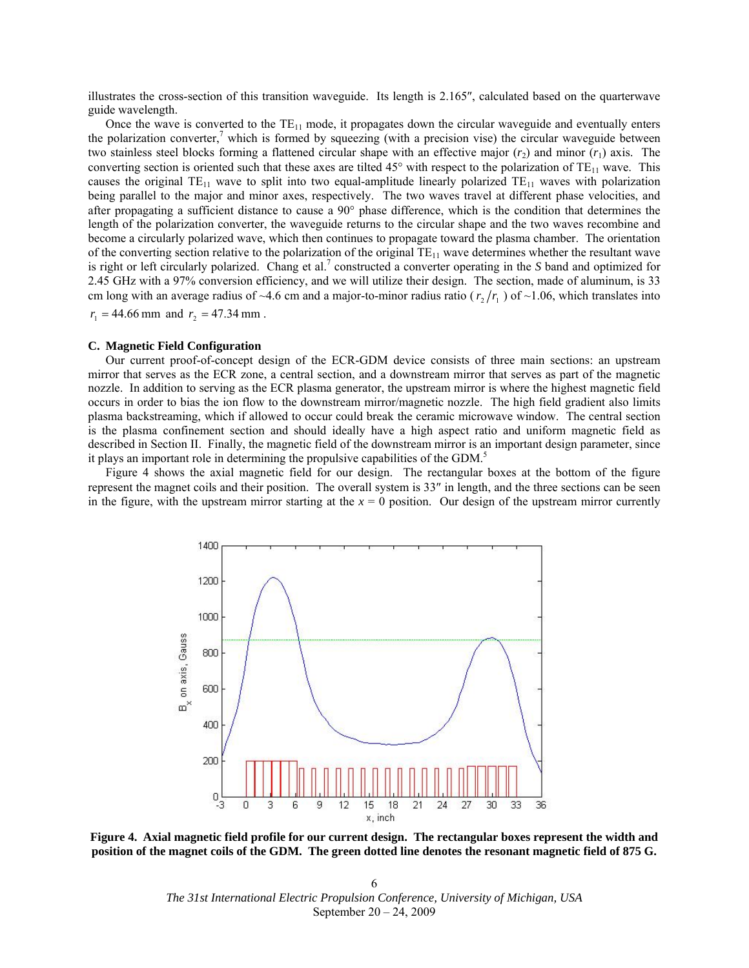illustrates the cross-section of this transition waveguide. Its length is 2.165″, calculated based on the quarterwave guide wavelength.

Once the wave is converted to the  $TE_{11}$  mode, it propagates down the circular waveguide and eventually enters the polarization converter,<sup>7</sup> which is formed by squeezing (with a precision vise) the circular waveguide between two stainless steel blocks forming a flattened circular shape with an effective major  $(r_2)$  and minor  $(r_1)$  axis. The converting section is oriented such that these axes are tilted 45° with respect to the polarization of  $TE_{11}$  wave. This causes the original  $TE_{11}$  wave to split into two equal-amplitude linearly polarized  $TE_{11}$  waves with polarization being parallel to the major and minor axes, respectively. The two waves travel at different phase velocities, and after propagating a sufficient distance to cause a 90° phase difference, which is the condition that determines the length of the polarization converter, the waveguide returns to the circular shape and the two waves recombine and become a circularly polarized wave, which then continues to propagate toward the plasma chamber. The orientation of the converting section relative to the polarization of the original  $TE_{11}$  wave determines whether the resultant wave is right or left circularly polarized. Chang et al.<sup>7</sup> constructed a converter operating in the *S* band and optimized for 2.45 GHz with a 97% conversion efficiency, and we will utilize their design. The section, made of aluminum, is 33 cm long with an average radius of ~4.6 cm and a major-to-minor radius ratio ( $r_2/r_1$ ) of ~1.06, which translates into  $r_1 = 44.66$  mm and  $r_2 = 47.34$  mm.

#### **C. Magnetic Field Configuration**

 Our current proof-of-concept design of the ECR-GDM device consists of three main sections: an upstream mirror that serves as the ECR zone, a central section, and a downstream mirror that serves as part of the magnetic nozzle. In addition to serving as the ECR plasma generator, the upstream mirror is where the highest magnetic field occurs in order to bias the ion flow to the downstream mirror/magnetic nozzle. The high field gradient also limits plasma backstreaming, which if allowed to occur could break the ceramic microwave window. The central section is the plasma confinement section and should ideally have a high aspect ratio and uniform magnetic field as described in Section II. Finally, the magnetic field of the downstream mirror is an important design parameter, since it plays an important role in determining the propulsive capabilities of the GDM.5

 Figure 4 shows the axial magnetic field for our design. The rectangular boxes at the bottom of the figure represent the magnet coils and their position. The overall system is 33″ in length, and the three sections can be seen in the figure, with the upstream mirror starting at the  $x = 0$  position. Our design of the upstream mirror currently



**Figure 4. Axial magnetic field profile for our current design. The rectangular boxes represent the width and position of the magnet coils of the GDM. The green dotted line denotes the resonant magnetic field of 875 G.** 

*The 31st International Electric Propulsion Conference, University of Michigan, USA*  September 20 – 24, 2009 6